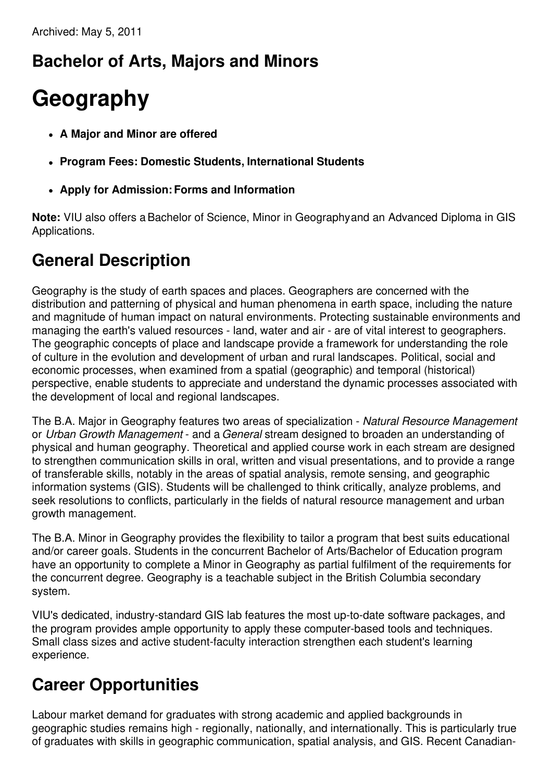## **Bachelor of Arts, Majors and Minors**

# **Geography**

- **A Major and Minor are offered**
- **Program Fees: Domestic Students, International Students**
- **Apply for Admission:Forms and Information**

**Note:** VIU also offers aBachelor of Science, Minor in Geographyand an Advanced Diploma in GIS Applications.

### **General Description**

Geography is the study of earth spaces and places. Geographers are concerned with the distribution and patterning of physical and human phenomena in earth space, including the nature and magnitude of human impact on natural environments. Protecting sustainable environments and managing the earth's valued resources - land, water and air - are of vital interest to geographers. The geographic concepts of place and landscape provide a framework for understanding the role of culture in the evolution and development of urban and rural landscapes. Political, social and economic processes, when examined from a spatial (geographic) and temporal (historical) perspective, enable students to appreciate and understand the dynamic processes associated with the development of local and regional landscapes.

The B.A. Major in Geography features two areas of specialization - *Natural Resource Management* or *Urban Growth Management* - and a *General* stream designed to broaden an understanding of physical and human geography. Theoretical and applied course work in each stream are designed to strengthen communication skills in oral, written and visual presentations, and to provide a range of transferable skills, notably in the areas of spatial analysis, remote sensing, and geographic information systems (GIS). Students will be challenged to think critically, analyze problems, and seek resolutions to conflicts, particularly in the fields of natural resource management and urban growth management.

The B.A. Minor in Geography provides the flexibility to tailor a program that best suits educational and/or career goals. Students in the concurrent Bachelor of Arts/Bachelor of Education program have an opportunity to complete a Minor in Geography as partial fulfilment of the requirements for the concurrent degree. Geography is a teachable subject in the British Columbia secondary system.

VIU's dedicated, industry-standard GIS lab features the most up-to-date software packages, and the program provides ample opportunity to apply these computer-based tools and techniques. Small class sizes and active student-faculty interaction strengthen each student's learning experience.

### **Career Opportunities**

Labour market demand for graduates with strong academic and applied backgrounds in geographic studies remains high - regionally, nationally, and internationally. This is particularly true of graduates with skills in geographic communication, spatial analysis, and GIS. Recent Canadian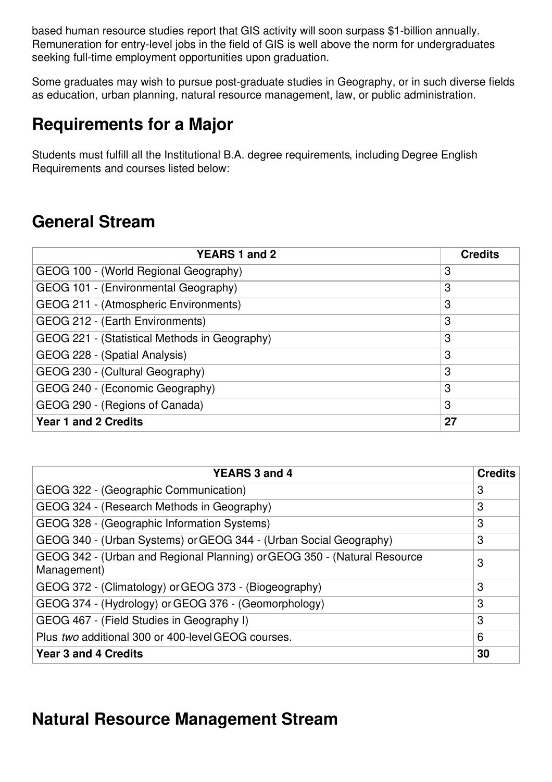based human resource studies report that GIS activity will soon surpass \$1-billion annually. Remuneration for entry-level jobs in the field of GIS is well above the norm for undergraduates seeking full-time employment opportunities upon graduation.

Some graduates may wish to pursue post-graduate studies in Geography, or in such diverse fields as education, urban planning, natural resource management, law, or public administration.

#### **Requirements for a Major**

Students must fulfill all the Institutional B.A. degree requirements, including Degree English Requirements and courses listed below:

#### **General Stream**

| YEARS 1 and 2                                 | <b>Credits</b> |
|-----------------------------------------------|----------------|
| GEOG 100 - (World Regional Geography)         | 3              |
| GEOG 101 - (Environmental Geography)          | 3              |
| GEOG 211 - (Atmospheric Environments)         | 3              |
| GEOG 212 - (Earth Environments)               | 3              |
| GEOG 221 - (Statistical Methods in Geography) | 3              |
| GEOG 228 - (Spatial Analysis)                 | 3              |
| GEOG 230 - (Cultural Geography)               | 3              |
| GEOG 240 - (Economic Geography)               | 3              |
| GEOG 290 - (Regions of Canada)                | 3              |
| <b>Year 1 and 2 Credits</b>                   | 27             |

| <b>YEARS 3 and 4</b>                                                                    | <b>Credits</b> |
|-----------------------------------------------------------------------------------------|----------------|
| GEOG 322 - (Geographic Communication)                                                   | 3              |
| GEOG 324 - (Research Methods in Geography)                                              | 3              |
| GEOG 328 - (Geographic Information Systems)                                             | 3              |
| GEOG 340 - (Urban Systems) or GEOG 344 - (Urban Social Geography)                       | 3              |
| GEOG 342 - (Urban and Regional Planning) or GEOG 350 - (Natural Resource<br>Management) | 3              |
| GEOG 372 - (Climatology) or GEOG 373 - (Biogeography)                                   | 3              |
| GEOG 374 - (Hydrology) or GEOG 376 - (Geomorphology)                                    | 3              |
| GEOG 467 - (Field Studies in Geography I)                                               | 3              |
| Plus two additional 300 or 400-level GEOG courses.                                      | 6              |
| <b>Year 3 and 4 Credits</b>                                                             | 30             |

#### **Natural Resource Management Stream**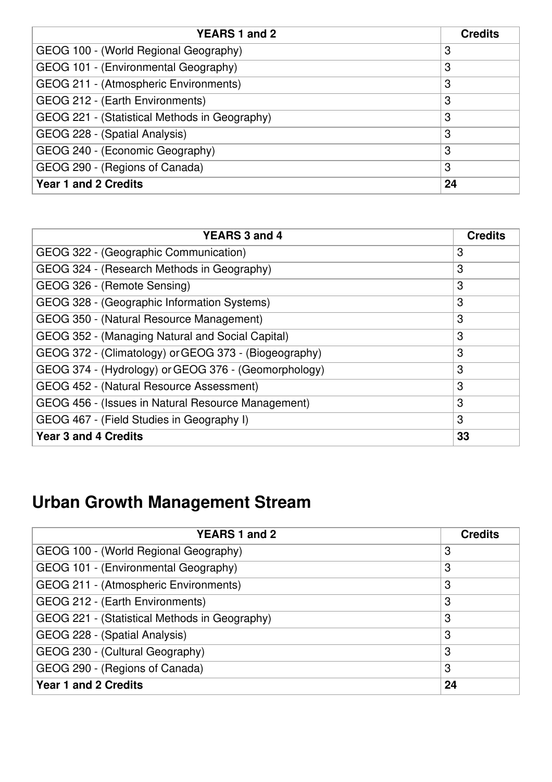| YEARS 1 and 2                                 | <b>Credits</b> |
|-----------------------------------------------|----------------|
| GEOG 100 - (World Regional Geography)         | 3              |
| GEOG 101 - (Environmental Geography)          | 3              |
| GEOG 211 - (Atmospheric Environments)         | 3              |
| GEOG 212 - (Earth Environments)               | 3              |
| GEOG 221 - (Statistical Methods in Geography) | 3              |
| GEOG 228 - (Spatial Analysis)                 | 3              |
| GEOG 240 - (Economic Geography)               | 3              |
| GEOG 290 - (Regions of Canada)                | 3              |
| <b>Year 1 and 2 Credits</b>                   | 24             |

| <b>YEARS 3 and 4</b>                                  | <b>Credits</b> |
|-------------------------------------------------------|----------------|
| GEOG 322 - (Geographic Communication)                 | 3              |
| GEOG 324 - (Research Methods in Geography)            | 3              |
| GEOG 326 - (Remote Sensing)                           | 3              |
| GEOG 328 - (Geographic Information Systems)           | 3              |
| GEOG 350 - (Natural Resource Management)              | 3              |
| GEOG 352 - (Managing Natural and Social Capital)      | 3              |
| GEOG 372 - (Climatology) or GEOG 373 - (Biogeography) | 3              |
| GEOG 374 - (Hydrology) or GEOG 376 - (Geomorphology)  | 3              |
| GEOG 452 - (Natural Resource Assessment)              | 3              |
| GEOG 456 - (Issues in Natural Resource Management)    | 3              |
| GEOG 467 - (Field Studies in Geography I)             | 3              |
| <b>Year 3 and 4 Credits</b>                           | 33             |

## **Urban Growth Management Stream**

| YEARS 1 and 2                                 | <b>Credits</b> |
|-----------------------------------------------|----------------|
| GEOG 100 - (World Regional Geography)         | 3              |
| GEOG 101 - (Environmental Geography)          | 3              |
| GEOG 211 - (Atmospheric Environments)         | 3              |
| GEOG 212 - (Earth Environments)               | 3              |
| GEOG 221 - (Statistical Methods in Geography) | 3              |
| GEOG 228 - (Spatial Analysis)                 | 3              |
| GEOG 230 - (Cultural Geography)               | 3              |
| GEOG 290 - (Regions of Canada)                | 3              |
| <b>Year 1 and 2 Credits</b>                   | 24             |